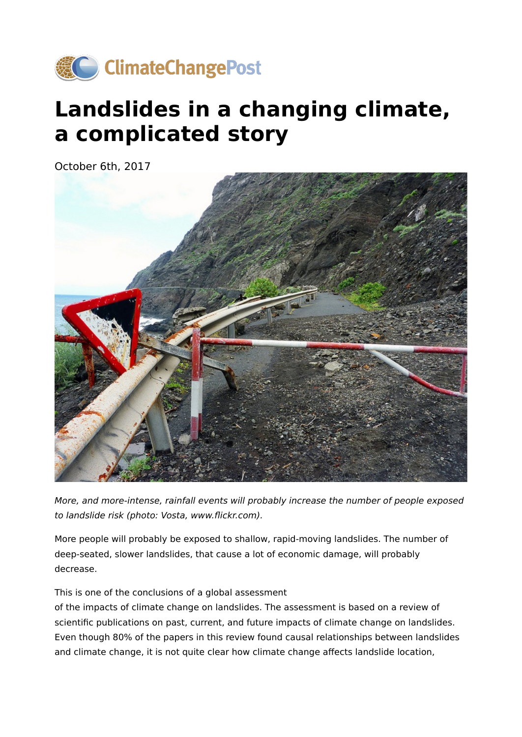

# **Landslides in a changing climate, a complicated story**

October 6th, 2017



More, and more-intense, rainfall events will probably increase the number of people exposed to landslide risk (photo: Vosta, www.flickr.com).

More people will probably be exposed to shallow, rapid-moving landslides. The number of deep-seated, slower landslides, that cause a lot of economic damage, will probably decrease.

This is one of the conclusions of a global assessment

of the impacts of climate change on landslides. The assessment is based on a review of scientific publications on past, current, and future impacts of climate change on landslides. Even though 80% of the papers in this review found causal relationships between landslides and climate change, it is not quite clear how climate change affects landslide location,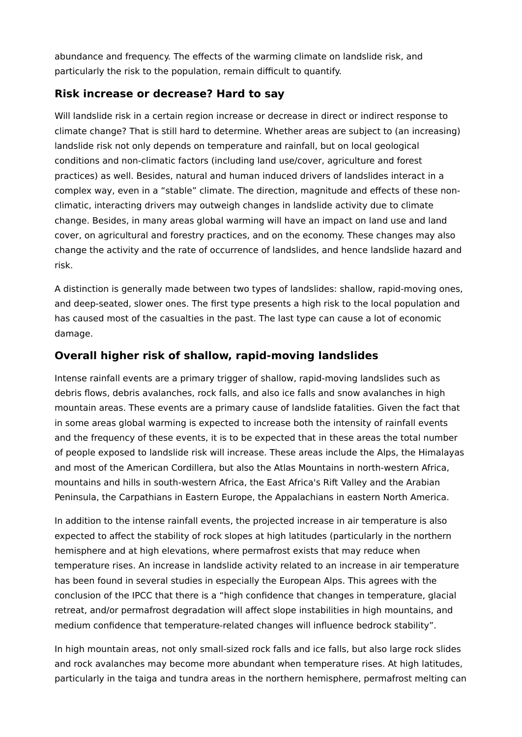abundance and frequency. The effects of the warming climate on landslide risk, and particularly the risk to the population, remain difficult to quantify.

#### **Risk increase or decrease? Hard to say**

Will landslide risk in a certain region increase or decrease in direct or indirect response to climate change? That is still hard to determine. Whether areas are subject to (an increasing) landslide risk not only depends on temperature and rainfall, but on local geological conditions and non-climatic factors (including land use/cover, agriculture and forest practices) as well. Besides, natural and human induced drivers of landslides interact in a complex way, even in a "stable" climate. The direction, magnitude and effects of these nonclimatic, interacting drivers may outweigh changes in landslide activity due to climate change. Besides, in many areas global warming will have an impact on land use and land cover, on agricultural and forestry practices, and on the economy. These changes may also change the activity and the rate of occurrence of landslides, and hence landslide hazard and risk.

A distinction is generally made between two types of landslides: shallow, rapid-moving ones, and deep-seated, slower ones. The first type presents a high risk to the local population and has caused most of the casualties in the past. The last type can cause a lot of economic damage.

### **Overall higher risk of shallow, rapid-moving landslides**

Intense rainfall events are a primary trigger of shallow, rapid-moving landslides such as debris flows, debris avalanches, rock falls, and also ice falls and snow avalanches in high mountain areas. These events are a primary cause of landslide fatalities. Given the fact that in some areas global warming is expected to increase both the intensity of rainfall events and the frequency of these events, it is to be expected that in these areas the total number of people exposed to landslide risk will increase. These areas include the Alps, the Himalayas and most of the American Cordillera, but also the Atlas Mountains in north-western Africa, mountains and hills in south-western Africa, the East Africa's Rift Valley and the Arabian Peninsula, the Carpathians in Eastern Europe, the Appalachians in eastern North America.

In addition to the intense rainfall events, the projected increase in air temperature is also expected to affect the stability of rock slopes at high latitudes (particularly in the northern hemisphere and at high elevations, where permafrost exists that may reduce when temperature rises. An increase in landslide activity related to an increase in air temperature has been found in several studies in especially the European Alps. This agrees with the conclusion of the IPCC that there is a "high confidence that changes in temperature, glacial retreat, and/or permafrost degradation will affect slope instabilities in high mountains, and medium confidence that temperature-related changes will influence bedrock stability".

In high mountain areas, not only small-sized rock falls and ice falls, but also large rock slides and rock avalanches may become more abundant when temperature rises. At high latitudes, particularly in the taiga and tundra areas in the northern hemisphere, permafrost melting can